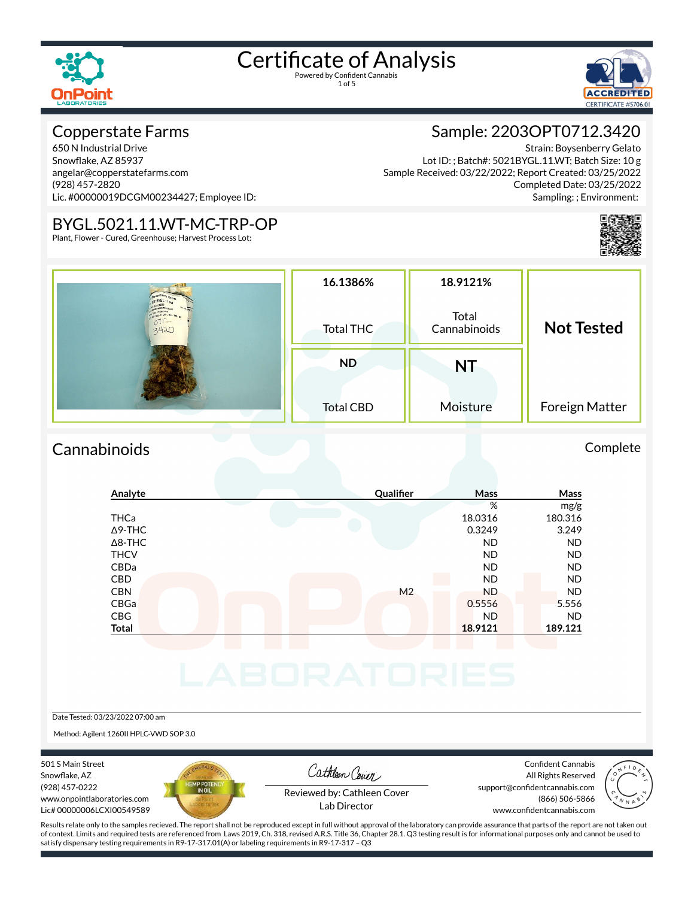1 of 5

**BORATORIE** 

#### Copperstate Farms

650 N Industrial Drive Snowflake, AZ 85937 angelar@copperstatefarms.com (928) 457-2820 Lic. #00000019DCGM00234427; Employee ID:

#### BYGL.5021.11.WT-MC-TRP-OP

Plant, Flower - Cured, Greenhouse; Harvest Process Lot:



#### Sample: 2203OPT0712.3420

Strain: Boysenberry Gelato Lot ID: ; Batch#: 5021BYGL.11.WT; Batch Size: 10 g Sample Received: 03/22/2022; Report Created: 03/25/2022 Completed Date: 03/25/2022 Sampling: ; Environment:



|                                                              | 16.1386%         | 18.9121%              |                   |  |  |
|--------------------------------------------------------------|------------------|-----------------------|-------------------|--|--|
| 4218YGL.11 ton<br>1221.11.WT - MG - TRe . da<br>$015 - 3420$ | <b>Total THC</b> | Total<br>Cannabinoids | <b>Not Tested</b> |  |  |
|                                                              | <b>ND</b>        | <b>NT</b>             |                   |  |  |
|                                                              | <b>Total CBD</b> | Moisture              | Foreign Matter    |  |  |

#### Cannabinoids Complete

#### **Analyte Qualier Mass Mass** % mg/g THCa 18.0316 180.316  $\Delta$ 9-THC 3.249 3.249 Δ8-THC ND ND THCV ND ND CBDa ND ND CBD A RESIDENCE OF A RESIDENCE OF A RESIDENCE OF A RESIDENCE OF A RESIDENCE OF A RESIDENCE OF A RESIDENCE OF A CBN M2 ND ND ND ND CBGa 0.5556 5.556 CBG ND ND **Total 18.9121 189.121**

Date Tested: 03/23/2022 07:00 am

Method: Agilent 1260II HPLC-VWD SOP 3.0

501 S Main Street Snowflake, AZ (928) 457-0222 www.onpointlaboratories.com Lic# 00000006LCXI00549589



Cathleen Cover

Confident Cannabis All Rights Reserved support@confidentcannabis.com (866) 506-5866



Reviewed by: Cathleen Cover Lab Director

www.confidentcannabis.com

Results relate only to the samples recieved. The report shall not be reproduced except in full without approval of the laboratory can provide assurance that parts of the report are not taken out of context. Limits and required tests are referenced from Laws 2019, Ch. 318, revised A.R.S. Title 36, Chapter 28.1. Q3 testing result is for informational purposes only and cannot be used to satisfy dispensary testing requirements in R9-17-317.01(A) or labeling requirements in R9-17-317 – Q3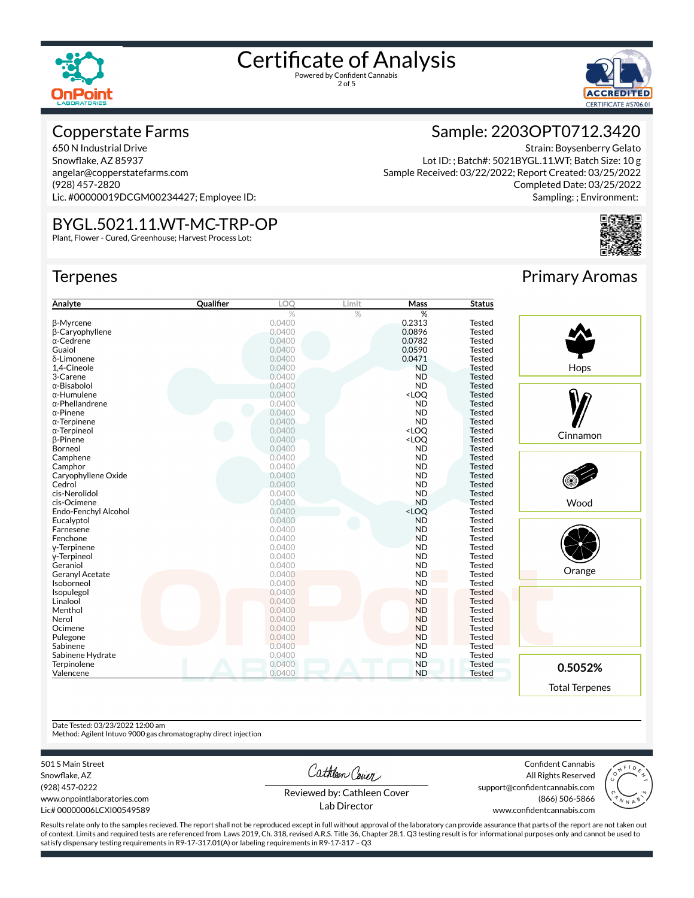



#### Copperstate Farms

650 N Industrial Drive Snowflake, AZ 85937 angelar@copperstatefarms.com (928) 457-2820 Lic. #00000019DCGM00234427; Employee ID:

#### BYGL.5021.11.WT-MC-TRP-OP

Plant, Flower - Cured, Greenhouse; Harvest Process Lot:

#### **Terpenes**

| Analyte                | Qualifier | LOO    | Limit | Mass                                      | <b>Status</b> |
|------------------------|-----------|--------|-------|-------------------------------------------|---------------|
|                        |           | %      | %     | %                                         |               |
| <b>B-Myrcene</b>       |           | 0.0400 |       | 0.2313                                    | Tested        |
| <b>B-Caryophyllene</b> |           | 0.0400 |       | 0.0896                                    | Tested        |
| $\alpha$ -Cedrene      |           | 0.0400 |       | 0.0782                                    | <b>Tested</b> |
| Guaiol                 |           | 0.0400 |       | 0.0590                                    | Tested        |
| δ-Limonene             |           | 0.0400 |       | 0.0471                                    | <b>Tested</b> |
| 1,4-Cineole            |           | 0.0400 |       | <b>ND</b>                                 | <b>Tested</b> |
| 3-Carene               |           | 0.0400 |       | <b>ND</b>                                 | Tested        |
| $\alpha$ -Bisabolol    |           | 0.0400 |       | <b>ND</b>                                 | <b>Tested</b> |
| $\alpha$ -Humulene     |           | 0.0400 |       | <loq< td=""><td><b>Tested</b></td></loq<> | <b>Tested</b> |
| $\alpha$ -Phellandrene |           | 0.0400 |       | <b>ND</b>                                 | Tested        |
| $\alpha$ -Pinene       |           | 0.0400 |       | <b>ND</b>                                 | Tested        |
| $\alpha$ -Terpinene    |           | 0.0400 |       | <b>ND</b>                                 | Tested        |
| $\alpha$ -Terpineol    |           | 0.0400 |       | <loo< td=""><td>Tested</td></loo<>        | Tested        |
| <b>B-Pinene</b>        |           | 0.0400 |       | <loq< td=""><td>Tested</td></loq<>        | Tested        |
| Borneol                |           | 0.0400 |       | <b>ND</b>                                 | Tested        |
| Camphene               |           | 0.0400 |       | <b>ND</b>                                 | Tested        |
| Camphor                |           | 0.0400 |       | <b>ND</b>                                 | <b>Tested</b> |
| Caryophyllene Oxide    |           | 0.0400 |       | <b>ND</b>                                 | <b>Tested</b> |
| Cedrol                 |           | 0.0400 |       | <b>ND</b>                                 | Tested        |
| cis-Nerolidol          |           | 0.0400 |       | <b>ND</b>                                 | Tested        |
| cis-Ocimene            |           | 0.0400 |       | <b>ND</b>                                 | <b>Tested</b> |
| Endo-Fenchyl Alcohol   |           | 0.0400 |       | <loq< td=""><td>Tested</td></loq<>        | Tested        |
| Eucalyptol             |           | 0.0400 |       | <b>ND</b>                                 | Tested        |
| Farnesene              |           | 0.0400 |       | <b>ND</b>                                 | <b>Tested</b> |
| Fenchone               |           | 0.0400 |       | <b>ND</b>                                 | Tested        |
| y-Terpinene            |           | 0.0400 |       | <b>ND</b>                                 | <b>Tested</b> |
| y-Terpineol            |           | 0.0400 |       | <b>ND</b>                                 | Tested        |
| Geraniol               |           | 0.0400 |       | <b>ND</b>                                 | <b>Tested</b> |
| <b>Geranyl Acetate</b> |           | 0.0400 |       | <b>ND</b>                                 | <b>Tested</b> |
| Isoborneol             |           | 0.0400 |       | <b>ND</b>                                 | <b>Tested</b> |
| Isopulegol             |           | 0.0400 |       | <b>ND</b>                                 | Tested        |
| Linalool               |           | 0.0400 |       | <b>ND</b>                                 | <b>Tested</b> |
| Menthol                |           | 0.0400 |       | <b>ND</b>                                 | <b>Tested</b> |
| Nerol                  |           | 0.0400 |       | <b>ND</b>                                 | <b>Tested</b> |
| Ocimene                |           | 0.0400 |       | <b>ND</b>                                 | <b>Tested</b> |
| Pulegone               |           | 0.0400 |       | <b>ND</b>                                 | <b>Tested</b> |
| Sabinene               |           | 0.0400 |       | <b>ND</b>                                 | <b>Tested</b> |
|                        |           | 0.0400 |       | <b>ND</b>                                 | <b>Tested</b> |
| Sabinene Hydrate       |           | 0.0400 |       | <b>ND</b>                                 | <b>Tested</b> |
| Terpinolene            |           | 0.0400 |       | <b>ND</b>                                 |               |
| Valencene              |           |        |       |                                           | <b>Tested</b> |

# Primary Aromas

Strain: Boysenberry Gelato

Completed Date: 03/25/2022 Sampling: ; Environment:

Sample: 2203OPT0712.3420

Lot ID: ; Batch#: 5021BYGL.11.WT; Batch Size: 10 g

Sample Received: 03/22/2022; Report Created: 03/25/2022



#### Date Tested: 03/23/2022 12:00 am

Method: Agilent Intuvo 9000 gas chromatography direct injection

501 S Main Street

Snowflake, AZ (928) 457-0222 www.onpointlaboratories.com Lic# 00000006LCXI00549589 Cathleen Cover

Confident Cannabis All Rights Reserved support@confidentcannabis.com (866) 506-5866



Reviewed by: Cathleen Cover Lab Director

Results relate only to the samples recieved. The report shall not be reproduced except in full without approval of the laboratory can provide assurance that parts of the report are not taken out of context. Limits and required tests are referenced from Laws 2019, Ch. 318, revised A.R.S. Title 36, Chapter 28.1. Q3 testing result is for informational purposes only and cannot be used to satisfy dispensary testing requirements in R9-17-317.01(A) or labeling requirements in R9-17-317 – Q3

www.confidentcannabis.com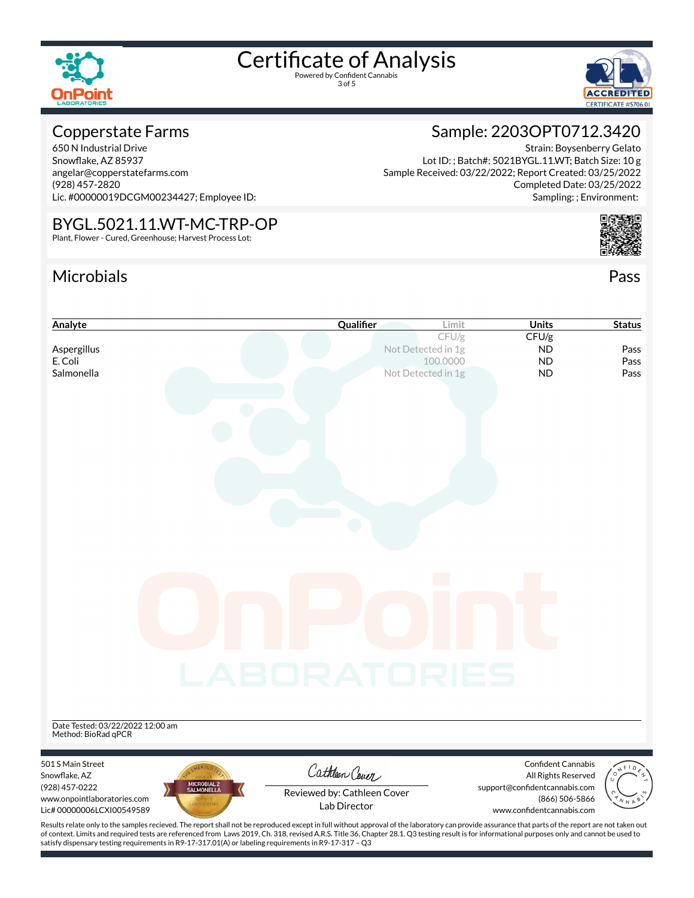

3 of 5



#### Copperstate Farms

650 N Industrial Drive Snowflake, AZ 85937 angelar@copperstatefarms.com (928) 457-2820 Lic. #00000019DCGM00234427; Employee ID:

#### BYGL.5021.11.WT-MC-TRP-OP

Plant, Flower - Cured, Greenhouse; Harvest Process Lot:

#### Microbials Pass



Strain: Boysenberry Gelato

Sample: 2203OPT0712.3420

Lot ID: ; Batch#: 5021BYGL.11.WT; Batch Size: 10 g

Sample Received: 03/22/2022; Report Created: 03/25/2022



### **Analyte Cualifier Limit Status Cualifier Limit Units Status** CFU/g CFU/g Aspergillus **Aspergillus Notifically Aspergillus Notifically** *Notifically Notifically Aspergillus* **<b>ND** Pass E. Coli 100.0000 ND Pass **Salmonella** Not Detected in 1g **ND** Pass Date Tested: 03/22/2022 12:00 am Method: BioRad qPCR 501 S Main Street Confident Cannabis Cathleen Cover Snowflake, AZ All Rights Reserved (928) 457-0222 support@confidentcannabis.com Reviewed by: Cathleen Cover www.onpointlaboratories.com (866) 506-5866 Lab DirectorLic# 00000006LCXI00549589 www.confidentcannabis.com

Results relate only to the samples recieved. The report shall not be reproduced except in full without approval of the laboratory can provide assurance that parts of the report are not taken out of context. Limits and required tests are referenced from Laws 2019, Ch. 318, revised A.R.S. Title 36, Chapter 28.1. Q3 testing result is for informational purposes only and cannot be used to satisfy dispensary testing requirements in R9-17-317.01(A) or labeling requirements in R9-17-317 – Q3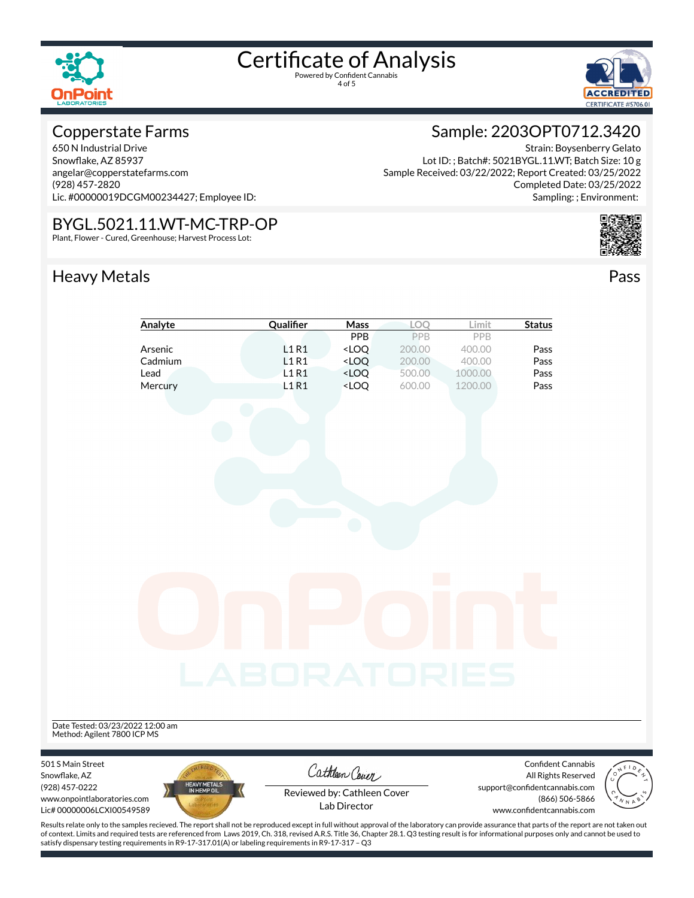

4 of 5



Strain: Boysenberry Gelato

Completed Date: 03/25/2022

Sample: 2203OPT0712.3420

Lot ID: ; Batch#: 5021BYGL.11.WT; Batch Size: 10 g

Sample Received: 03/22/2022; Report Created: 03/25/2022

#### Copperstate Farms

650 N Industrial Drive Snowflake, AZ 85937 angelar@copperstatefarms.com (928) 457-2820 Lic. #00000019DCGM00234427; Employee ID:

#### BYGL.5021.11.WT-MC-TRP-OP

Plant, Flower - Cured, Greenhouse; Harvest Process Lot:

#### Heavy Metals **Pass**



|                                  | Analyte                                                                                                                                                                                      | Qualifier           | Mass                                                                                                             | LOQ              | Limit              | <b>Status</b>                 |
|----------------------------------|----------------------------------------------------------------------------------------------------------------------------------------------------------------------------------------------|---------------------|------------------------------------------------------------------------------------------------------------------|------------------|--------------------|-------------------------------|
|                                  |                                                                                                                                                                                              |                     | PPB                                                                                                              | PPB              | PPB                |                               |
|                                  | Arsenic                                                                                                                                                                                      | L1R1                | <loq< td=""><td>200.00</td><td>400.00</td><td>Pass</td></loq<>                                                   | 200.00           | 400.00             | Pass                          |
|                                  | Cadmium                                                                                                                                                                                      | L1R1                | <loq< td=""><td>200.00</td><td>400.00</td><td>Pass</td></loq<>                                                   | 200.00           | 400.00             | Pass                          |
|                                  | Lead                                                                                                                                                                                         | <b>L1R1</b><br>L1R1 | <loq<br><loq< td=""><td>500.00<br/>600.00</td><td>1000.00<br/>1200.00</td><td>Pass<br/>Pass</td></loq<></loq<br> | 500.00<br>600.00 | 1000.00<br>1200.00 | Pass<br>Pass                  |
|                                  | Mercury                                                                                                                                                                                      |                     |                                                                                                                  |                  |                    |                               |
|                                  |                                                                                                                                                                                              |                     |                                                                                                                  |                  |                    |                               |
|                                  |                                                                                                                                                                                              |                     |                                                                                                                  |                  |                    |                               |
|                                  |                                                                                                                                                                                              |                     |                                                                                                                  |                  |                    |                               |
|                                  |                                                                                                                                                                                              |                     |                                                                                                                  |                  |                    |                               |
|                                  |                                                                                                                                                                                              |                     |                                                                                                                  |                  |                    |                               |
|                                  |                                                                                                                                                                                              |                     |                                                                                                                  |                  |                    |                               |
|                                  |                                                                                                                                                                                              |                     |                                                                                                                  |                  |                    |                               |
|                                  |                                                                                                                                                                                              |                     |                                                                                                                  |                  |                    |                               |
|                                  |                                                                                                                                                                                              |                     |                                                                                                                  |                  |                    |                               |
|                                  |                                                                                                                                                                                              |                     |                                                                                                                  |                  |                    |                               |
|                                  |                                                                                                                                                                                              |                     |                                                                                                                  |                  |                    |                               |
|                                  |                                                                                                                                                                                              |                     |                                                                                                                  |                  |                    |                               |
|                                  |                                                                                                                                                                                              |                     |                                                                                                                  |                  |                    |                               |
|                                  |                                                                                                                                                                                              |                     |                                                                                                                  |                  |                    |                               |
|                                  |                                                                                                                                                                                              |                     |                                                                                                                  |                  |                    |                               |
|                                  |                                                                                                                                                                                              |                     |                                                                                                                  |                  |                    |                               |
|                                  |                                                                                                                                                                                              |                     |                                                                                                                  |                  |                    |                               |
|                                  |                                                                                                                                                                                              |                     |                                                                                                                  |                  |                    |                               |
|                                  |                                                                                                                                                                                              |                     |                                                                                                                  |                  |                    |                               |
|                                  |                                                                                                                                                                                              |                     |                                                                                                                  |                  |                    |                               |
|                                  |                                                                                                                                                                                              |                     |                                                                                                                  |                  |                    |                               |
|                                  |                                                                                                                                                                                              | LABORATORIES        |                                                                                                                  |                  |                    |                               |
|                                  |                                                                                                                                                                                              |                     |                                                                                                                  |                  |                    |                               |
|                                  |                                                                                                                                                                                              |                     |                                                                                                                  |                  |                    |                               |
| Date Tested: 03/23/2022 12:00 am |                                                                                                                                                                                              |                     |                                                                                                                  |                  |                    |                               |
| Method: Agilent 7800 ICP MS      |                                                                                                                                                                                              |                     |                                                                                                                  |                  |                    |                               |
|                                  |                                                                                                                                                                                              |                     |                                                                                                                  |                  |                    |                               |
| 501 S Main Street                |                                                                                                                                                                                              |                     |                                                                                                                  |                  |                    | Confident Cannabis            |
| Snowflake, AZ                    |                                                                                                                                                                                              |                     | Cathleen Cover                                                                                                   |                  |                    | CONF<br>All Rights Reserved   |
| (928) 457-0222                   | HEAVY METALS<br>IN HEMP OIL                                                                                                                                                                  |                     |                                                                                                                  |                  |                    | support@confidentcannabis.com |
| www.onpointlaboratories.com      |                                                                                                                                                                                              |                     | Reviewed by: Cathleen Cover                                                                                      |                  |                    | (866) 506-5866                |
| Lic# 00000006LCXI00549589        |                                                                                                                                                                                              |                     | Lab Director                                                                                                     |                  |                    | www.confidentcannabis.com     |
|                                  | Results relate only to the samples recieved. The report shall not be reproduced except in full without approval of the laboratory can provide assurance that parts of the report are not tak |                     |                                                                                                                  |                  |                    |                               |

 $\begin{array}{c}\n\begin{array}{c}\n\cdot \\
\cdot \\
\cdot \\
\cdot \\
\cdot \\
\cdot\n\end{array} \\
\hline\n\begin{array}{c}\n\cdot \\
\cdot \\
\cdot \\
\cdot \\
\cdot \\
\cdot\n\end{array}\n\end{array}$ 

Results relate only to the samples recieved. The report shall not be reproduced except in full without approval of the laboratory can provide assurance that parts of the report are not taken out of context. Limits and required tests are referenced from Laws 2019, Ch. 318, revised A.R.S. Title 36, Chapter 28.1. Q3 testing result is for informational purposes only and cannot be used to satisfy dispensary testing requirements in R9-17-317.01(A) or labeling requirements in R9-17-317 – Q3